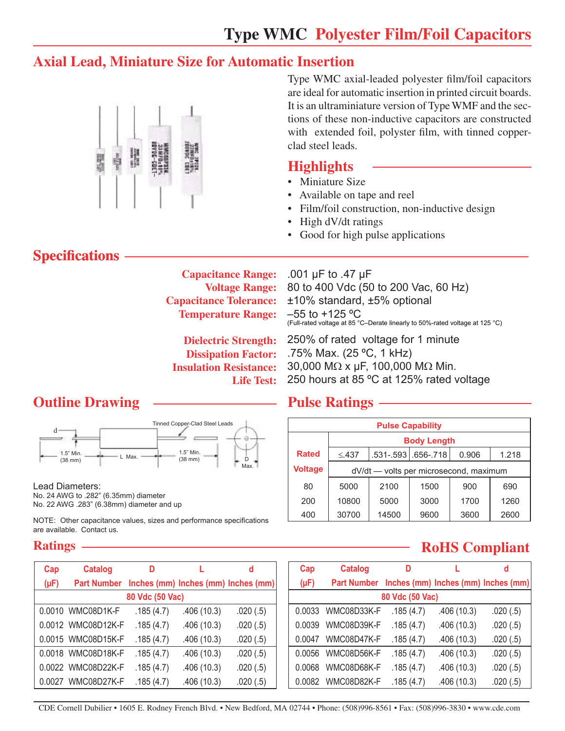## **Axial Lead, Miniature Size for Automatic Insertion**



Type WMC axial-leaded polyester film/foil capacitors are ideal for automatic insertion in printed circuit boards. It is an ultraminiature version of Type WMF and the sections of these non-inductive capacitors are constructed with extended foil, polyster film, with tinned copperclad steel leads.

### **Highlights**

- Miniature Size
- Available on tape and reel
- Film/foil construction, non-inductive design
- High dV/dt ratings
- Good for high pulse applications

## **Specifications**

**Capacitance Range: Voltage Range: Capacitance Tolerance: Temperature Range:** 

.001 µF to .47 µF 80 to 400 Vdc (50 to 200 Vac, 60 Hz) ±10% standard, ±5% optional  $-55$  to  $+125$  °C (Full-rated voltage at 85 °C–Derate linearly to 50%-rated voltage at 125 °C)

**Dielectric Strength: Dissipation Factor: Insulation Resistance: Life Test:**

250% of rated voltage for 1 minute .75% Max. (25 ºC, 1 kHz) 30,000 MΩ x µF, 100,000 MΩ Min. 250 hours at 85 ºC at 125% rated voltage

## **Outline Drawing Pulse Ratings**



Lead Diameters: No. 24 AWG to .282" (6.35mm) diameter No. 22 AWG .283" (6.38mm) diameter and up

NOTE: Other capacitance values, sizes and performance specifications are available. Contact us.

#### **Ratings**

| Cap             | <b>Catalog</b>     | D         |            | d                                   |  |  |  |
|-----------------|--------------------|-----------|------------|-------------------------------------|--|--|--|
| $(\mu F)$       | <b>Part Number</b> |           |            | Inches (mm) Inches (mm) Inches (mm) |  |  |  |
| 80 Vdc (50 Vac) |                    |           |            |                                     |  |  |  |
|                 | 0.0010 WMC08D1K-F  | .185(4.7) | .406(10.3) | .020(.5)                            |  |  |  |
|                 | 0.0012 WMC08D12K-F | .185(4.7) | .406(10.3) | .020(.5)                            |  |  |  |
|                 | 0.0015 WMC08D15K-F | .185(4.7) | .406(10.3) | .020(.5)                            |  |  |  |
|                 | 0.0018 WMC08D18K-F | .185(4.7) | .406(10.3) | .020(.5)                            |  |  |  |
|                 | 0.0022 WMC08D22K-F | .185(4.7) | .406(10.3) | .020(.5)                            |  |  |  |
|                 | 0.0027 WMC08D27K-F | .185(4.7) | .406(10.3) | .020(.5)                            |  |  |  |

| <b>Pulse Capability</b> |                                        |                    |      |       |       |  |
|-------------------------|----------------------------------------|--------------------|------|-------|-------|--|
|                         | <b>Body Length</b>                     |                    |      |       |       |  |
| <b>Rated</b>            | $\leq$ .437                            | .531-.593 656-.718 |      | 0.906 | 1.218 |  |
| <b>Voltage</b>          | dV/dt - volts per microsecond, maximum |                    |      |       |       |  |
| 80                      | 5000                                   | 2100               | 1500 | 900   | 690   |  |
| 200                     | 10800                                  | 5000               | 3000 | 1700  | 1260  |  |
| 400                     | 30700                                  | 14500              | 9600 | 3600  | 2600  |  |

## **RoHS Compliant**

| Cap             | <b>Catalog</b>                                  | D         |            | d        |  |  |  |
|-----------------|-------------------------------------------------|-----------|------------|----------|--|--|--|
| $(\mu F)$       | Part Number Inches (mm) Inches (mm) Inches (mm) |           |            |          |  |  |  |
| 80 Vdc (50 Vac) |                                                 |           |            |          |  |  |  |
| 0.0033          | WMC08D33K-F                                     | .185(4.7) | .406(10.3) | .020(.5) |  |  |  |
| 0.0039          | WMC08D39K-F                                     | .185(4.7) | .406(10.3) | .020(.5) |  |  |  |
| 0.0047          | WMC08D47K-F                                     | .185(4.7) | .406(10.3) | .020(.5) |  |  |  |
| 0.0056          | WMC08D56K-F                                     | .185(4.7) | .406(10.3) | .020(.5) |  |  |  |
| 0.0068          | WMC08D68K-F                                     | .185(4.7) | .406(10.3) | .020(.5) |  |  |  |
|                 | 0.0082 WMC08D82K-F                              | .185(4.7) | .406(10.3) | .020(.5) |  |  |  |

CDE Cornell Dubilier • 1605 E. Rodney French Blvd. • New Bedford, MA 02744 • Phone: (508)996-8561 • Fax: (508)996-3830 • www.cde.com